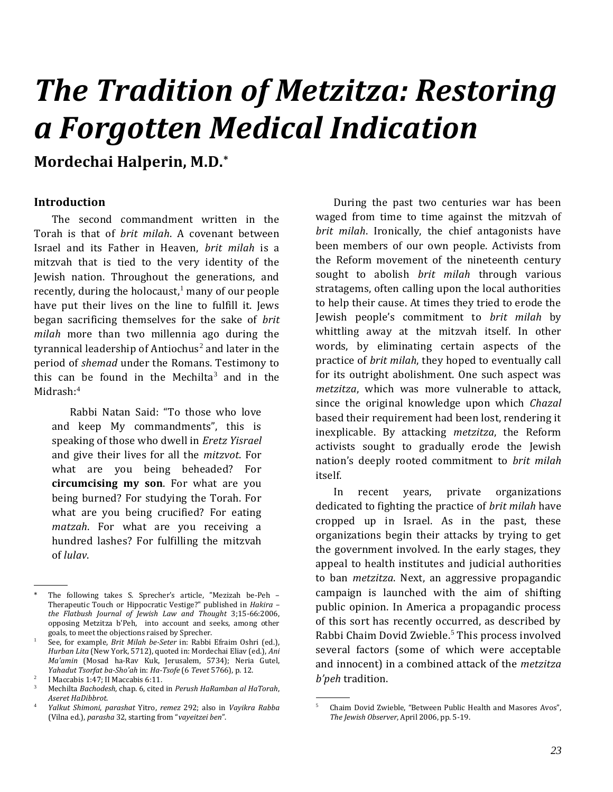# *The Tradition of Metzitza: Restoring a Forgotten Medical Indication*

## **Mordechai Halperin, M.D.\***

#### **Introduction\***

The second commandment written in the Torah is that of *brit milah*. A covenant between Israel and its Father in Heaven, *brit milah* is a mitzvah that is tied to the very identity of the Jewish nation. Throughout the generations, and recently, during the holocaust, $1$  many of our people have put their lives on the line to fulfill it. Jews began sacrificing themselves for the sake of *brit milah* more than two millennia ago during the tyrannical leadership of Antiochus<sup>2</sup> and later in the period of *shemad* under the Romans. Testimony to this can be found in the Mechilta<sup>3</sup> and in the Midrash:<sup>4</sup>

Rabbi Natan Said: "To those who love and keep My commandments", this is speaking of those who dwell in *Eretz Yisrael* and give their lives for all the *mitzvot*. For what are you being beheaded? For **circumcising my son**. For what are you being burned? For studying the Torah. For what are you being crucified? For eating *matzah*. For what are you receiving a hundred lashes? For fulfilling the mitzvah of *lulav*.

.

During the past two centuries war has been waged from time to time against the mitzvah of *brit milah*. Ironically, the chief antagonists have been members of our own people. Activists from the Reform movement of the nineteenth century sought to abolish *brit milah* through various stratagems, often calling upon the local authorities to help their cause. At times they tried to erode the Jewish people's commitment to *brit milah* by whittling away at the mitzvah itself. In other words, by eliminating certain aspects of the practice of *brit milah*, they hoped to eventually call for its outright abolishment. One such aspect was *metzitza*, which was more vulnerable to attack, since the original knowledge upon which *Chazal* based their requirement had been lost, rendering it inexplicable. By attacking *metzitza*, the Reform activists sought to gradually erode the Jewish nation's deeply rooted commitment to *brit milah* itself.

In recent years, private organizations dedicated to fighting the practice of *brit milah* have cropped up in Israel. As in the past, these organizations begin their attacks by trying to get the government involved. In the early stages, they appeal to health institutes and judicial authorities to ban *metzitza*. Next, an aggressive propagandic campaign is launched with the aim of shifting public opinion. In America a propagandic process of this sort has recently occurred, as described by Rabbi Chaim Dovid Zwieble.<sup>5</sup> This process involved several factors (some of which were acceptable and innocent) in a combined attack of the *metzitza b'peh* tradition.

.

The following takes S. Sprecher's article, "Mezizah be-Peh – Therapeutic Touch or Hippocratic Vestige?" published in *Hakira – the Flatbush Journal of Jewish Law and Thought* 3;15-66:2006, opposing Metzitza b'Peh, into account and seeks, among other goals, to meet the objections raised by Sprecher.

<sup>1</sup> See, for example, *Brit Milah be-Seter* in: Rabbi Efraim Oshri (ed.), *Hurban Lita* (New York, 5712), quoted in: Mordechai Eliav (ed.), *Ani Ma'amin* (Mosad ha-Rav Kuk, Jerusalem, 5734); Neria Gutel, *Yahadut Tsorfat ba-Sho'ah* in: *Ha-Tsofe* (6 *Tevet* 5766), p. 12.

<sup>2</sup> I Maccabis 1:47; II Maccabis 6:11.

<sup>3</sup> Mechilta *Bachodesh*, chap. 6, cited in *Perush HaRamban al HaTorah*, *Aseret HaDibbrot*.

<sup>4</sup> *Yalkut Shimoni*, *parashat* Yitro, *remez* 292; also in *Vayikra Rabba* (Vilna ed.), *parasha* 32, starting from "*vayeitzei ben*".

<sup>5</sup> Chaim Dovid Zwieble, "Between Public Health and Masores Avos", *The Jewish Observer*, April 2006, pp. 5-19.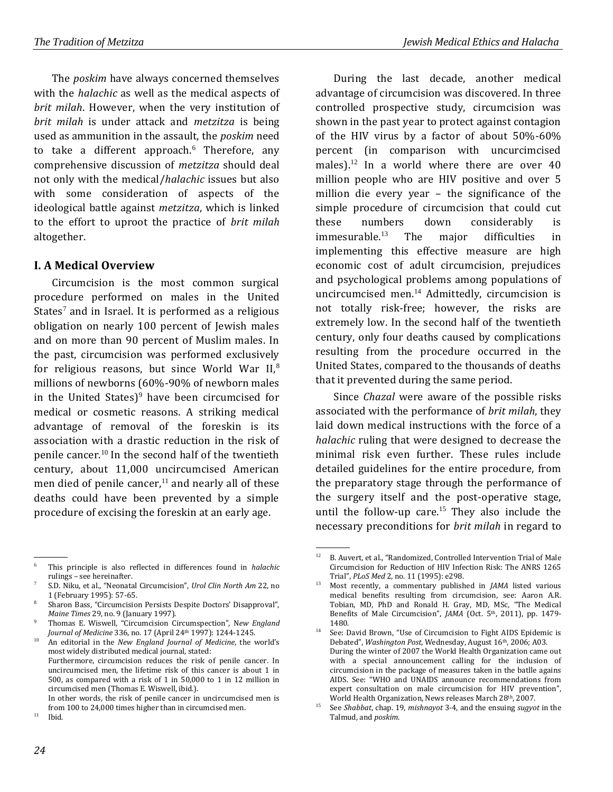The *poskim* have always concerned themselves with the *halachic* as well as the medical aspects of *brit milah*. However, when the very institution of *brit milah* is under attack and *metzitza* is being used as ammunition in the assault, the *poskim* need to take a different approach.<sup>6</sup> Therefore, any comprehensive discussion of *metzitza* should deal not only with the medical/*halachic* issues but also with some consideration of aspects of the ideological battle against *metzitza*, which is linked to the effort to uproot the practice of *brit milah* altogether.

#### **I. A Medical Overview**

Circumcision is the most common surgical procedure performed on males in the United States<sup>7</sup> and in Israel. It is performed as a religious obligation on nearly 100 percent of Jewish males and on more than 90 percent of Muslim males. In the past, circumcision was performed exclusively for religious reasons, but since World War  $II$ ,<sup>8</sup> millions of newborns (60%-90% of newborn males in the United States $)^9$  have been circumcised for medical or cosmetic reasons. A striking medical advantage of removal of the foreskin is its association with a drastic reduction in the risk of penile cancer.<sup>10</sup> In the second half of the twentieth century, about 11,000 uncircumcised American men died of penile cancer, $11$  and nearly all of these deaths could have been prevented by a simple procedure of excising the foreskin at an early age.

<sup>9</sup> Thomas E. Wiswell, "Circumcision Circumspection", N*ew England Journal of Medicine* 336, no. 17 (April 24th 1997): 1244-1245.

In other words, the risk of penile cancer in uncircumcised men is from 100 to 24,000 times higher than in circumcised men.

During the last decade, another medical advantage of circumcision was discovered. In three controlled prospective study, circumcision was shown in the past year to protect against contagion of the HIV virus by a factor of about 50%-60% percent (in comparison with uncurcimcised males).<sup>12</sup> In a world where there are over  $40$ million people who are HIV positive and over 5 million die every year – the significance of the simple procedure of circumcision that could cut these numbers down considerably is immesurable.<sup>13</sup> The major difficulties in implementing this effective measure are high economic cost of adult circumcision, prejudices and psychological problems among populations of uncircumcised men.<sup>14</sup> Admittedly, circumcision is not totally risk-free; however, the risks are extremely low. In the second half of the twentieth century, only four deaths caused by complications resulting from the procedure occurred in the United States, compared to the thousands of deaths that it prevented during the same period.

Since *Chazal* were aware of the possible risks associated with the performance of *brit milah*, they laid down medical instructions with the force of a *halachic* ruling that were designed to decrease the minimal risk even further. These rules include detailed guidelines for the entire procedure, from the preparatory stage through the performance of the surgery itself and the post-operative stage, until the follow-up care.<sup>15</sup> They also include the necessary preconditions for *brit milah* in regard to

 <sup>.</sup> <sup>6</sup> This principle is also reflected in differences found in *halachic* rulings – see hereinafter.

<sup>7</sup> S.D. Niku, et al., "Neonatal Circumcision", *Urol Clin North Am* 22, no 1 (February 1995): 57-65.

<sup>8</sup> Sharon Bass, "Circumcision Persists Despite Doctors' Disapproval", *Maine Times* 29, no. 9 (January 1997).

<sup>10</sup> An editorial in the *New England Journal of Medicine*, the world's most widely distributed medical journal, stated: Furthermore, circumcision reduces the risk of penile cancer. In uncircumcised men, the lifetime risk of this cancer is about 1 in 500, as compared with a risk of 1 in 50,000 to 1 in 12 million in circumcised men (Thomas E. Wiswell, ibid.).

 $11$  Ibid.

 <sup>.</sup> <sup>12</sup> B. Auvert, et al., "Randomized, Controlled Intervention Trial of Male Circumcision for Reduction of HIV Infection Risk: The ANRS 1265 Trial", *PLoS Med* 2, no. 11 (1995): e298.

<sup>13</sup> Most recently, a commentary published in *JAMA* listed various medical benefits resulting from circumcision, see: Aaron A.R. Tobian, MD, PhD and Ronald H. Gray, MD, MSc, "The Medical Benefits of Male Circumcision", *JAMA* (Oct. 5<sup>th</sup>, 2011), pp. 1479-1480.

<sup>&</sup>lt;sup>14</sup> See: David Brown, "Use of Circumcision to Fight AIDS Epidemic is Debated", *Washington Post*, Wednesday, August 16th, 2006; A03. During the winter of 2007 the World Health Organization came out with a special announcement calling for the inclusion of circumcision in the package of measures taken in the batlle agains AIDS. See: "WHO and UNAIDS announce recommendations from expert consultation on male circumcision for HIV prevention", World Health Organization, News releases March 28th, 2007.

<sup>15</sup> See *Shabbat*, chap. 19, *mishnayot* 3-4, and the ensuing *sugyot* in the Talmud, and *poskim*.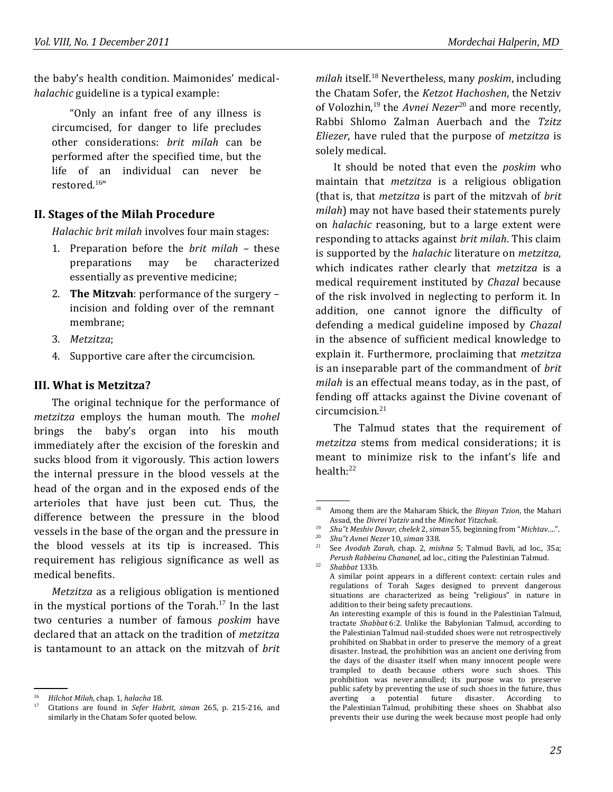the baby's health condition. Maimonides' medical*halachic* guideline is a typical example:

"Only an infant free of any illness is circumcised, for danger to life precludes other considerations: *brit milah* can be performed after the specified time, but the life of an individual can never be restored.<sup>16</sup>"

#### **II. Stages of the Milah Procedure**

*Halachic brit milah* involves four main stages:

- 1. Preparation before the *brit milah –* these preparations may be characterized essentially as preventive medicine;
- 2. **The Mitzvah**: performance of the surgery incision and folding over of the remnant membrane;
- 3. *Metzitza*;
- 4. Supportive care after the circumcision.

#### **III. What is Metzitza?**

The original technique for the performance of *metzitza* employs the human mouth. The *mohel* brings the baby's organ into his mouth immediately after the excision of the foreskin and sucks blood from it vigorously. This action lowers the internal pressure in the blood vessels at the head of the organ and in the exposed ends of the arterioles that have just been cut. Thus, the difference between the pressure in the blood vessels in the base of the organ and the pressure in the blood vessels at its tip is increased. This requirement has religious significance as well as medical benefits.

*Metzitza* as a religious obligation is mentioned in the mystical portions of the Torah.<sup>17</sup> In the last two centuries a number of famous *poskim* have declared that an attack on the tradition of *metzitza* is tantamount to an attack on the mitzvah of *brit* 

.

*milah* itself.<sup>18</sup> Nevertheless, many *poskim*, including the Chatam Sofer, the *Ketzot Hachoshen*, the Netziv of Volozhin,<sup>19</sup> the *Avnei Nezer*<sup>20</sup> and more recently. Rabbi Shlomo Zalman Auerbach and the *Tzitz Eliezer*, have ruled that the purpose of *metzitza* is solely medical.

It should be noted that even the *poskim* who maintain that *metzitza* is a religious obligation (that is, that *metzitza* is part of the mitzvah of *brit milah*) may not have based their statements purely on *halachic* reasoning, but to a large extent were responding to attacks against *brit milah*. This claim is supported by the *halachic* literature on *metzitza*, which indicates rather clearly that *metzitza* is a medical requirement instituted by *Chazal* because of the risk involved in neglecting to perform it. In addition, one cannot ignore the difficulty of defending a medical guideline imposed by *Chazal* in the absence of sufficient medical knowledge to explain it. Furthermore, proclaiming that *metzitza* is an inseparable part of the commandment of *brit milah* is an effectual means today, as in the past, of fending off attacks against the Divine covenant of circumcision.<sup>21</sup>

The Talmud states that the requirement of *metzitza* stems from medical considerations; it is meant to minimize risk to the infant's life and health:<sup>22</sup>

<sup>16</sup> *Hilchot Milah*, chap. 1, *halacha* 18.

<sup>17</sup> Citations are found in *Sefer Habrit*, *siman* 265, p. 215-216, and similarly in the Chatam Sofer quoted below.

 <sup>.</sup> <sup>18</sup> Among them are the Maharam Shick, the *Binyan Tzion*, the Mahari Assad, the *Divrei Yatziv* and the *Minchat Yitzchak*.

<sup>19</sup> *Shu"t Meshiv Davar*, *chelek* 2, *siman* 55, beginning from "*Michtav*.…".

<sup>20</sup> *Shu"t Avnei Nezer* 10, *siman* 338.

<sup>21</sup> See *Avodah Zarah*, chap. 2, *mishna* 5; Talmud Bavli, ad loc., 35a; *Perush Rabbeinu Chananel*, ad loc., citing the Palestinian Talmud. <sup>22</sup> *Shabbat* 133b.

A similar point appears in a different context: certain rules and regulations of Torah Sages designed to prevent dangerous situations are characterized as being "religious" in nature in addition to their being safety precautions.

An interesting example of this is found in the Palestinian Talmud, tractate *Shabbat* 6:2. Unlike the Babylonian Talmud, according to the Palestinian Talmud nail-studded shoes were not retrospectively prohibited on Shabbat in order to preserve the memory of a great disaster. Instead, the prohibition was an ancient one deriving from the days of the disaster itself when many innocent people were trampled to death because others wore such shoes. This prohibition was never annulled; its purpose was to preserve public safety by preventing the use of such shoes in the future, thus averting a potential future disaster. According to the Palestinian Talmud, prohibiting these shoes on Shabbat also prevents their use during the week because most people had only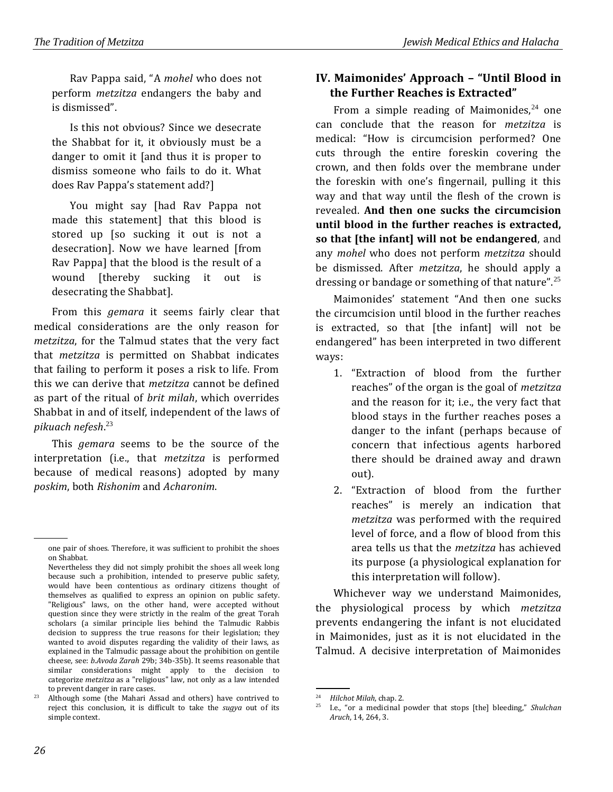Rav Pappa said, "A *mohel* who does not perform *metzitza* endangers the baby and is dismissed".

Is this not obvious? Since we desecrate the Shabbat for it, it obviously must be a danger to omit it [and thus it is proper to dismiss someone who fails to do it. What does Rav Pappa's statement add?]

You might say [had Rav Pappa not made this statement] that this blood is stored up [so sucking it out is not a desecration]. Now we have learned [from Rav Pappa] that the blood is the result of a wound [thereby sucking it out is desecrating the Shabbat].

From this *gemara* it seems fairly clear that medical considerations are the only reason for *metzitza*, for the Talmud states that the very fact that *metzitza* is permitted on Shabbat indicates that failing to perform it poses a risk to life. From this we can derive that *metzitza* cannot be defined as part of the ritual of *brit milah*, which overrides Shabbat in and of itself, independent of the laws of *pikuach nefesh*. 23

This *gemara* seems to be the source of the interpretation (i.e., that *metzitza* is performed because of medical reasons) adopted by many *poskim*, both *Rishonim* and *Acharonim*.

## **IV. Maimonides' Approach – "Until Blood in the Further Reaches is Extracted"**

From a simple reading of Maimonides, $24$  one can conclude that the reason for *metzitza* is medical: "How is circumcision performed? One cuts through the entire foreskin covering the crown, and then folds over the membrane under the foreskin with one's fingernail, pulling it this way and that way until the flesh of the crown is revealed. **And then one sucks the circumcision until blood in the further reaches is extracted, so that [the infant] will not be endangered**, and any *mohel* who does not perform *metzitza* should be dismissed. After *metzitza*, he should apply a dressing or bandage or something of that nature".<sup>25</sup>

Maimonides' statement "And then one sucks the circumcision until blood in the further reaches is extracted, so that [the infant] will not be endangered" has been interpreted in two different ways:

- 1. "Extraction of blood from the further reaches" of the organ is the goal of *metzitza* and the reason for it; i.e., the very fact that blood stays in the further reaches poses a danger to the infant (perhaps because of concern that infectious agents harbored there should be drained away and drawn out).
- 2. "Extraction of blood from the further reaches" is merely an indication that *metzitza* was performed with the required level of force, and a flow of blood from this area tells us that the *metzitza* has achieved its purpose (a physiological explanation for this interpretation will follow).

Whichever way we understand Maimonides, the physiological process by which *metzitza* prevents endangering the infant is not elucidated in Maimonides, just as it is not elucidated in the Talmud. A decisive interpretation of Maimonides

 <sup>.</sup> one pair of shoes. Therefore, it was sufficient to prohibit the shoes on Shabbat.

Nevertheless they did not simply prohibit the shoes all week long because such a prohibition, intended to preserve public safety, would have been contentious as ordinary citizens thought of themselves as qualified to express an opinion on public safety. "Religious" laws, on the other hand, were accepted without question since they were strictly in the realm of the great Torah scholars (a similar principle lies behind the Talmudic Rabbis decision to suppress the true reasons for their legislation; they wanted to avoid disputes regarding the validity of their laws, as explained in the Talmudic passage about the prohibition on gentile cheese, see: *b.Avoda Zarah* 29b; 34b-35b). It seems reasonable that similar considerations might apply to the decision to categorize *metzitza* as a "religious" law, not only as a law intended to prevent danger in rare cases.

<sup>&</sup>lt;sup>23</sup> Although some (the Mahari Assad and others) have contrived to reject this conclusion, it is difficult to take the *sugya* out of its simple context.

 <sup>.</sup> <sup>24</sup> *Hilchot Milah*, chap. 2.<br><sup>25</sup> **Lo** "or a modicinal"

<sup>25</sup> I.e., "or a medicinal powder that stops [the] bleeding," *Shulchan Aruch*, 14, 264, 3.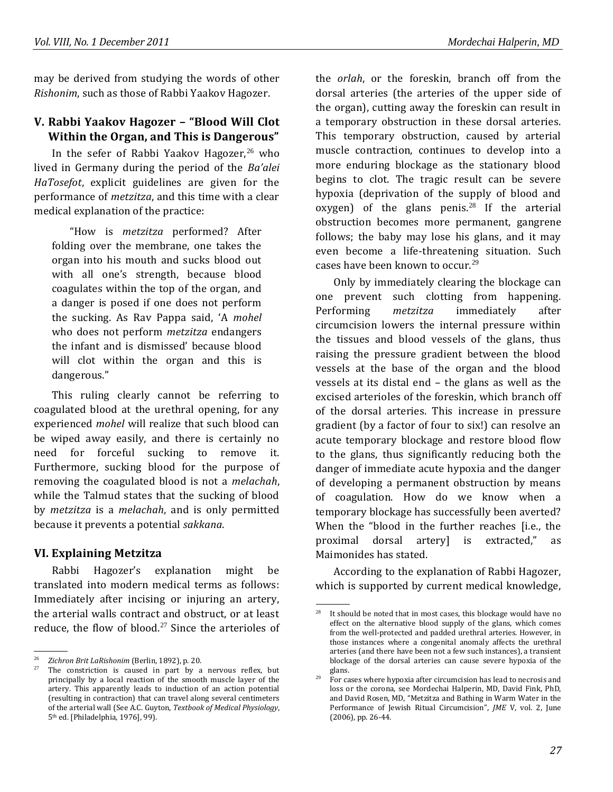may be derived from studying the words of other *Rishonim*, such as those of Rabbi Yaakov Hagozer.

## **V. Rabbi Yaakov Hagozer – "Blood Will Clot Within the Organ, and This is Dangerous"**

In the sefer of Rabbi Yaakov Hagozer, $26$  who lived in Germany during the period of the *Ba'alei HaTosefot*, explicit guidelines are given for the performance of *metzitza*, and this time with a clear medical explanation of the practice:

"How is *metzitza* performed? After folding over the membrane, one takes the organ into his mouth and sucks blood out with all one's strength, because blood coagulates within the top of the organ, and a danger is posed if one does not perform the sucking. As Rav Pappa said, 'A *mohel* who does not perform *metzitza* endangers the infant and is dismissed' because blood will clot within the organ and this is dangerous."

This ruling clearly cannot be referring to coagulated blood at the urethral opening, for any experienced *mohel* will realize that such blood can be wiped away easily, and there is certainly no need for forceful sucking to remove it. Furthermore, sucking blood for the purpose of removing the coagulated blood is not a *melachah*, while the Talmud states that the sucking of blood by *metzitza* is a *melachah*, and is only permitted because it prevents a potential *sakkana*.

#### **VI. Explaining Metzitza**

Rabbi Hagozer's explanation might be translated into modern medical terms as follows: Immediately after incising or injuring an artery, the arterial walls contract and obstruct, or at least reduce, the flow of blood.<sup>27</sup> Since the arterioles of

the *orlah*, or the foreskin, branch off from the dorsal arteries (the arteries of the upper side of the organ), cutting away the foreskin can result in a temporary obstruction in these dorsal arteries. This temporary obstruction, caused by arterial muscle contraction, continues to develop into a more enduring blockage as the stationary blood begins to clot. The tragic result can be severe hypoxia (deprivation of the supply of blood and oxygen) of the glans penis.<sup>28</sup> If the arterial obstruction becomes more permanent, gangrene follows; the baby may lose his glans, and it may even become a life-threatening situation. Such cases have been known to occur.<sup>29</sup>

Only by immediately clearing the blockage can one prevent such clotting from happening. Performing *metzitza* immediately after circumcision lowers the internal pressure within the tissues and blood vessels of the glans, thus raising the pressure gradient between the blood vessels at the base of the organ and the blood vessels at its distal end – the glans as well as the excised arterioles of the foreskin, which branch off of the dorsal arteries. This increase in pressure gradient (by a factor of four to six!) can resolve an acute temporary blockage and restore blood flow to the glans, thus significantly reducing both the danger of immediate acute hypoxia and the danger of developing a permanent obstruction by means of coagulation. How do we know when a temporary blockage has successfully been averted? When the "blood in the further reaches [i.e., the proximal dorsal artery] is extracted," as Maimonides has stated.

According to the explanation of Rabbi Hagozer, which is supported by current medical knowledge,

 <sup>.</sup> <sup>26</sup> *Zichron Brit LaRishonim* (Berlin, 1892), p. 20.

The constriction is caused in part by a nervous reflex, but principally by a local reaction of the smooth muscle layer of the artery. This apparently leads to induction of an action potential (resulting in contraction) that can travel along several centimeters of the arterial wall (See A.C. Guyton, *Textbook of Medical Physiology*, 5th ed. [Philadelphia, 1976], 99).

 <sup>.</sup> It should be noted that in most cases, this blockage would have no effect on the alternative blood supply of the glans, which comes from the well-protected and padded urethral arteries. However, in those instances where a congenital anomaly affects the urethral arteries (and there have been not a few such instances), a transient blockage of the dorsal arteries can cause severe hypoxia of the glans.

 $29$  For cases where hypoxia after circumcision has lead to necrosis and loss or the corona, see Mordechai Halperin, MD, David Fink, PhD, and David Rosen, MD, "Metzitza and Bathing in Warm Water in the Performance of Jewish Ritual Circumcision", *JME* V, vol. 2, June (2006), pp. 26-44.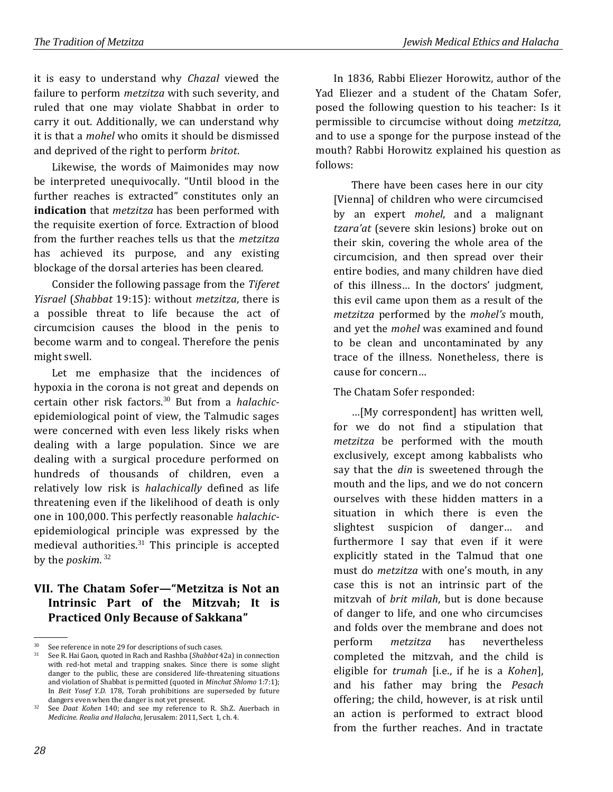it is easy to understand why *Chazal* viewed the failure to perform *metzitza* with such severity, and ruled that one may violate Shabbat in order to carry it out. Additionally, we can understand why it is that a *mohel* who omits it should be dismissed and deprived of the right to perform *britot*.

Likewise, the words of Maimonides may now be interpreted unequivocally. "Until blood in the further reaches is extracted" constitutes only an **indication** that *metzitza* has been performed with the requisite exertion of force. Extraction of blood from the further reaches tells us that the *metzitza* has achieved its purpose, and any existing blockage of the dorsal arteries has been cleared.

Consider the following passage from the *Tiferet Yisrael* (*Shabbat* 19:15): without *metzitza*, there is a possible threat to life because the act of circumcision causes the blood in the penis to become warm and to congeal. Therefore the penis might swell.

Let me emphasize that the incidences of hypoxia in the corona is not great and depends on certain other risk factors.<sup>30</sup> But from a *halachic*epidemiological point of view, the Talmudic sages were concerned with even less likely risks when dealing with a large population. Since we are dealing with a surgical procedure performed on hundreds of thousands of children, even a relatively low risk is *halachically* defined as life threatening even if the likelihood of death is only one in 100,000. This perfectly reasonable *halachic*epidemiological principle was expressed by the medieval authorities. $31$  This principle is accepted by the *poskim*. 32

#### **VII. The Chatam Sofer—"Metzitza is Not an Intrinsic Part of the Mitzvah; It is Practiced Only Because of Sakkana"**

In 1836, Rabbi Eliezer Horowitz, author of the Yad Eliezer and a student of the Chatam Sofer, posed the following question to his teacher: Is it permissible to circumcise without doing *metzitza*, and to use a sponge for the purpose instead of the mouth? Rabbi Horowitz explained his question as follows:

There have been cases here in our city [Vienna] of children who were circumcised by an expert *mohel*, and a malignant *tzara'at* (severe skin lesions) broke out on their skin, covering the whole area of the circumcision, and then spread over their entire bodies, and many children have died of this illness… In the doctors' judgment, this evil came upon them as a result of the *metzitza* performed by the *mohel's* mouth, and yet the *mohel* was examined and found to be clean and uncontaminated by any trace of the illness. Nonetheless, there is cause for concern…

The Chatam Sofer responded:

…[My correspondent] has written well, for we do not find a stipulation that *metzitza* be performed with the mouth exclusively, except among kabbalists who say that the *din* is sweetened through the mouth and the lips, and we do not concern ourselves with these hidden matters in a situation in which there is even the slightest suspicion of danger… and furthermore I say that even if it were explicitly stated in the Talmud that one must do *metzitza* with one's mouth, in any case this is not an intrinsic part of the mitzvah of *brit milah*, but is done because of danger to life, and one who circumcises and folds over the membrane and does not perform *metzitza* has nevertheless completed the mitzvah, and the child is eligible for *trumah* [i.e., if he is a *Kohen*], and his father may bring the *Pesach* offering; the child, however, is at risk until an action is performed to extract blood from the further reaches. And in tractate

.

<sup>&</sup>lt;sup>30</sup> See reference in note 29 for descriptions of such cases.<br><sup>31</sup> See B. Haj Gaon, quoted in Rach and Rashba (Shabbat A

<sup>31</sup> See R. Hai Gaon, quoted in Rach and Rashba (*Shabbat* 42a) in connection with red-hot metal and trapping snakes. Since there is some slight danger to the public, these are considered life-threatening situations and violation of Shabbat is permitted (quoted in *Minchat Shlomo* 1:7:1); In *Beit Yosef Y.D.* 178, Torah prohibitions are superseded by future dangers even when the danger is not yet present.

<sup>32</sup> See *Daat Kohen* 140; and see my reference to R. Sh.Z. Auerbach in *Medicine. Realia and Halacha*, Jerusalem: 2011, Sect. 1, ch. 4.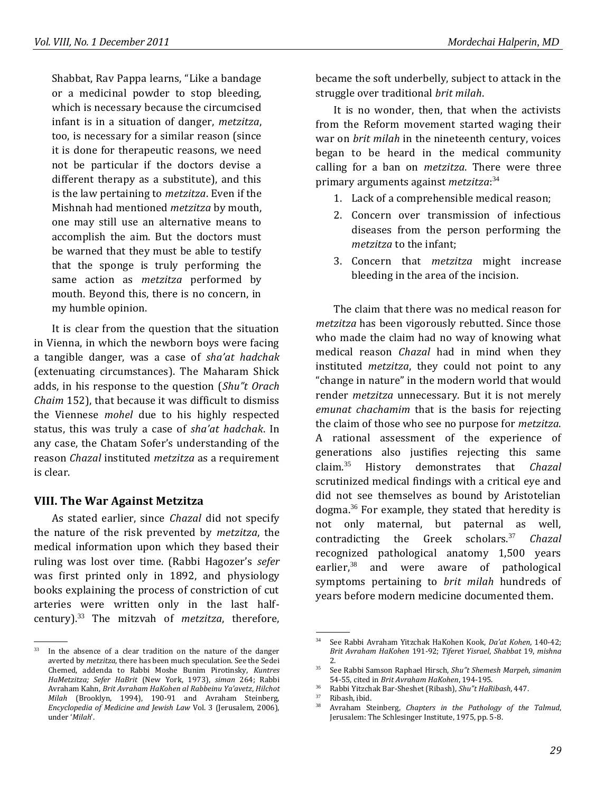Shabbat, Rav Pappa learns, "Like a bandage or a medicinal powder to stop bleeding, which is necessary because the circumcised infant is in a situation of danger, *metzitza*, too, is necessary for a similar reason (since it is done for therapeutic reasons, we need not be particular if the doctors devise a different therapy as a substitute), and this is the law pertaining to *metzitza*. Even if the Mishnah had mentioned *metzitza* by mouth, one may still use an alternative means to accomplish the aim. But the doctors must be warned that they must be able to testify that the sponge is truly performing the same action as *metzitza* performed by mouth. Beyond this, there is no concern, in my humble opinion.

It is clear from the question that the situation in Vienna, in which the newborn boys were facing a tangible danger, was a case of *sha'at hadchak* (extenuating circumstances). The Maharam Shick adds, in his response to the question (*Shu"t Orach Chaim* 152), that because it was difficult to dismiss the Viennese *mohel* due to his highly respected status, this was truly a case of *sha'at hadchak*. In any case, the Chatam Sofer's understanding of the reason *Chazal* instituted *metzitza* as a requirement is clear.

## **VIII. The War Against Metzitza**

As stated earlier, since *Chazal* did not specify the nature of the risk prevented by *metzitza*, the medical information upon which they based their ruling was lost over time. (Rabbi Hagozer's *sefer* was first printed only in 1892, and physiology books explaining the process of constriction of cut arteries were written only in the last halfcentury).<sup>33</sup> The mitzvah of *metzitza*, therefore,

became the soft underbelly, subject to attack in the struggle over traditional *brit milah*.

It is no wonder, then, that when the activists from the Reform movement started waging their war on *brit milah* in the nineteenth century, voices began to be heard in the medical community calling for a ban on *metzitza*. There were three primary arguments against *metzitza*: 34

- 1. Lack of a comprehensible medical reason;
- 2. Concern over transmission of infectious diseases from the person performing the *metzitza* to the infant;
- 3. Concern that *metzitza* might increase bleeding in the area of the incision.

The claim that there was no medical reason for *metzitza* has been vigorously rebutted. Since those who made the claim had no way of knowing what medical reason *Chazal* had in mind when they instituted *metzitza*, they could not point to any "change in nature" in the modern world that would render *metzitza* unnecessary. But it is not merely *emunat chachamim* that is the basis for rejecting the claim of those who see no purpose for *metzitza*. A rational assessment of the experience of generations also justifies rejecting this same claim. <sup>35</sup> History demonstrates that *Chazal* scrutinized medical findings with a critical eye and did not see themselves as bound by Aristotelian dogma. $36$  For example, they stated that heredity is not only maternal, but paternal as well, contradicting the Greek scholars.<sup>37</sup> *Chazal* recognized pathological anatomy 1,500 years earlier, $38$  and were aware of pathological symptoms pertaining to *brit milah* hundreds of years before modern medicine documented them.

 <sup>.</sup> <sup>33</sup> In the absence of a clear tradition on the nature of the danger averted by *metzitza*, there has been much speculation. See the Sedei Chemed, addenda to Rabbi Moshe Bunim Pirotinsky, *Kuntres HaMetzitza; Sefer HaBrit* (New York, 1973), *siman* 264; Rabbi Avraham Kahn, *Brit Avraham HaKohen al Rabbeinu Ya'avetz*, *Hilchot Milah* (Brooklyn, 1994), 190-91 and Avraham Steinberg, *Encyclopedia of Medicine and Jewish Law* Vol. 3 (Jerusalem, 2006), under '*Milah*'.

 <sup>.</sup> <sup>34</sup> See Rabbi Avraham Yitzchak HaKohen Kook, *Da'at Kohen*, 140-42; *Brit Avraham HaKohen* 191-92; *Tiferet Yisrael*, *Shabbat* 19, *mishna*  2.

<sup>35</sup> See Rabbi Samson Raphael Hirsch, *Shu"t Shemesh Marpeh*, *simanim* 54-55, cited in *Brit Avraham HaKohen*, 194-195.

<sup>36</sup> Rabbi Yitzchak Bar-Sheshet (Ribash), *Shu"t HaRibash*, 447.

 $\frac{37}{38}$  Ribash, ibid.

<sup>38</sup> Avraham Steinberg, *Chapters in the Pathology of the Talmud*, Jerusalem: The Schlesinger Institute, 1975, pp. 5-8.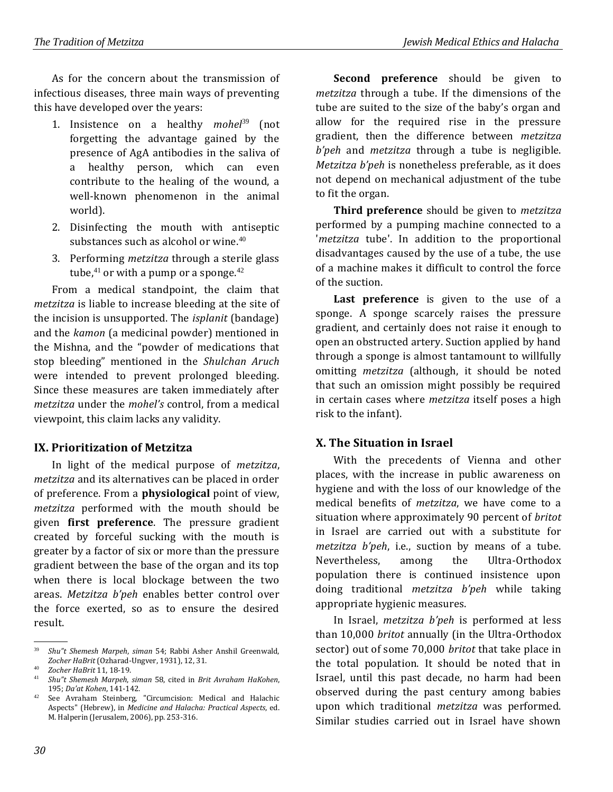As for the concern about the transmission of infectious diseases, three main ways of preventing this have developed over the years:

- 1. Insistence on a healthy *mohel*<sup>39</sup> (not forgetting the advantage gained by the presence of AgA antibodies in the saliva of a healthy person, which can even contribute to the healing of the wound, a well-known phenomenon in the animal world).
- 2. Disinfecting the mouth with antiseptic substances such as alcohol or wine.<sup>40</sup>
- 3. Performing *metzitza* through a sterile glass tube, $41$  or with a pump or a sponge. $42$

From a medical standpoint, the claim that *metzitza* is liable to increase bleeding at the site of the incision is unsupported. The *isplanit* (bandage) and the *kamon* (a medicinal powder) mentioned in the Mishna, and the "powder of medications that stop bleeding" mentioned in the *Shulchan Aruch* were intended to prevent prolonged bleeding. Since these measures are taken immediately after *metzitza* under the *mohel's* control, from a medical viewpoint, this claim lacks any validity.

#### **IX. Prioritization of Metzitza**

In light of the medical purpose of *metzitza*, *metzitza* and its alternatives can be placed in order of preference. From a **physiological** point of view, *metzitza* performed with the mouth should be given **first preference**. The pressure gradient created by forceful sucking with the mouth is greater by a factor of six or more than the pressure gradient between the base of the organ and its top when there is local blockage between the two areas. *Metzitza b'peh* enables better control over the force exerted, so as to ensure the desired result.

**Second preference** should be given to *metzitza* through a tube. If the dimensions of the tube are suited to the size of the baby's organ and allow for the required rise in the pressure gradient, then the difference between *metzitza b'peh* and *metzitza* through a tube is negligible. *Metzitza b'peh* is nonetheless preferable, as it does not depend on mechanical adjustment of the tube to fit the organ.

**Third preference** should be given to *metzitza* performed by a pumping machine connected to a '*metzitza* tube'. In addition to the proportional disadvantages caused by the use of a tube, the use of a machine makes it difficult to control the force of the suction.

Last preference is given to the use of a sponge. A sponge scarcely raises the pressure gradient, and certainly does not raise it enough to open an obstructed artery. Suction applied by hand through a sponge is almost tantamount to willfully omitting *metzitza* (although, it should be noted that such an omission might possibly be required in certain cases where *metzitza* itself poses a high risk to the infant).

#### **X. The Situation in Israel**

With the precedents of Vienna and other places, with the increase in public awareness on hygiene and with the loss of our knowledge of the medical benefits of *metzitza*, we have come to a situation where approximately 90 percent of *britot* in Israel are carried out with a substitute for *metzitza b'peh*, i.e., suction by means of a tube. Nevertheless, among the Ultra-Orthodox population there is continued insistence upon doing traditional *metzitza b'peh* while taking appropriate hygienic measures.

In Israel, *metzitza b'peh* is performed at less than 10,000 *britot* annually (in the Ultra-Orthodox sector) out of some 70,000 *britot* that take place in the total population. It should be noted that in Israel, until this past decade, no harm had been observed during the past century among babies upon which traditional *metzitza* was performed. Similar studies carried out in Israel have shown

.

<sup>39</sup> *Shu"t Shemesh Marpeh*, *siman* 54; Rabbi Asher Anshil Greenwald, *Zocher HaBrit* (Ozharad-Ungver, 1931), 12, 31.

<sup>40</sup> *Zocher HaBrit* 11, 18-19.

<sup>41</sup> *Shu"t Shemesh Marpeh*, *siman* 58, cited in *Brit Avraham HaKohen*, 195; *Da'at Kohen*, 141-142.

<sup>42</sup> See Avraham Steinberg, "Circumcision: Medical and Halachic Aspects" (Hebrew), in *Medicine and Halacha: Practical Aspects*, ed. M. Halperin (Jerusalem, 2006), pp. 253-316.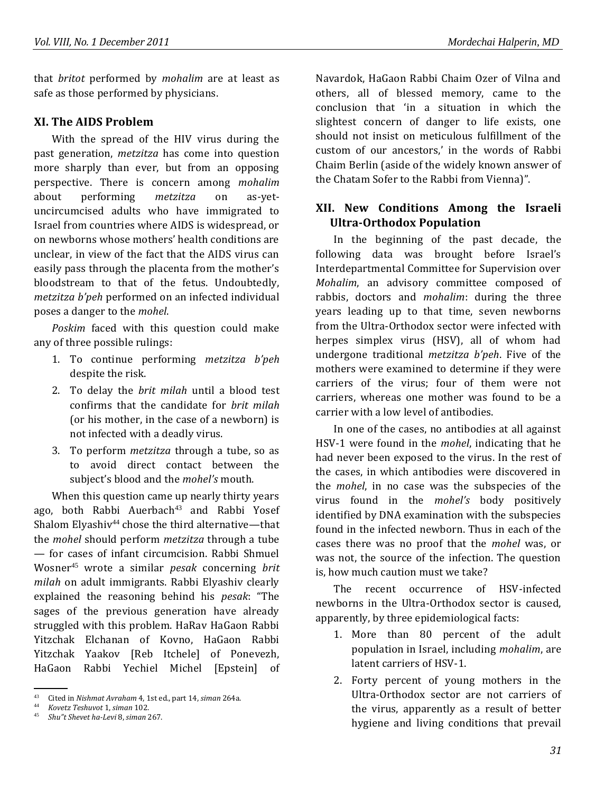that *britot* performed by *mohalim* are at least as safe as those performed by physicians.

#### **XI. The AIDS Problem**

With the spread of the HIV virus during the past generation, *metzitza* has come into question more sharply than ever, but from an opposing perspective. There is concern among *mohalim* about performing *metzitza* on as-yetuncircumcised adults who have immigrated to Israel from countries where AIDS is widespread, or on newborns whose mothers' health conditions are unclear, in view of the fact that the AIDS virus can easily pass through the placenta from the mother's bloodstream to that of the fetus. Undoubtedly, *metzitza b'peh* performed on an infected individual poses a danger to the *mohel*.

*Poskim* faced with this question could make any of three possible rulings:

- 1. To continue performing *metzitza b'peh* despite the risk.
- 2. To delay the *brit milah* until a blood test confirms that the candidate for *brit milah* (or his mother, in the case of a newborn) is not infected with a deadly virus.
- 3. To perform *metzitza* through a tube, so as to avoid direct contact between the subject's blood and the *mohel's* mouth.

When this question came up nearly thirty years ago, both Rabbi Auerbach<sup>43</sup> and Rabbi Yosef Shalom Elyashiv<sup>44</sup> chose the third alternative—that the *mohel* should perform *metzitza* through a tube — for cases of infant circumcision. Rabbi Shmuel Wosner<sup>45</sup> wrote a similar *pesak* concerning *brit milah* on adult immigrants. Rabbi Elyashiv clearly explained the reasoning behind his *pesak*: "The sages of the previous generation have already struggled with this problem. HaRav HaGaon Rabbi Yitzchak Elchanan of Kovno, HaGaon Rabbi Yitzchak Yaakov [Reb Itchele] of Ponevezh, HaGaon Rabbi Yechiel Michel [Epstein] of

Navardok, HaGaon Rabbi Chaim Ozer of Vilna and others, all of blessed memory, came to the conclusion that 'in a situation in which the slightest concern of danger to life exists, one should not insist on meticulous fulfillment of the custom of our ancestors,' in the words of Rabbi Chaim Berlin (aside of the widely known answer of the Chatam Sofer to the Rabbi from Vienna)".

## **XII. New Conditions Among the Israeli Ultra-Orthodox Population**

In the beginning of the past decade, the following data was brought before Israel's Interdepartmental Committee for Supervision over *Mohalim*, an advisory committee composed of rabbis, doctors and *mohalim*: during the three years leading up to that time, seven newborns from the Ultra-Orthodox sector were infected with herpes simplex virus (HSV), all of whom had undergone traditional *metzitza b'peh*. Five of the mothers were examined to determine if they were carriers of the virus; four of them were not carriers, whereas one mother was found to be a carrier with a low level of antibodies.

In one of the cases, no antibodies at all against HSV-1 were found in the *mohel*, indicating that he had never been exposed to the virus. In the rest of the cases, in which antibodies were discovered in the *mohel*, in no case was the subspecies of the virus found in the *mohel's* body positively identified by DNA examination with the subspecies found in the infected newborn. Thus in each of the cases there was no proof that the *mohel* was, or was not, the source of the infection. The question is, how much caution must we take?

The recent occurrence of HSV-infected newborns in the Ultra-Orthodox sector is caused, apparently, by three epidemiological facts:

- 1. More than 80 percent of the adult population in Israel, including *mohalim*, are latent carriers of HSV-1.
- 2. Forty percent of young mothers in the Ultra-Orthodox sector are not carriers of the virus, apparently as a result of better hygiene and living conditions that prevail

 <sup>.</sup> <sup>43</sup> Cited in *Nishmat Avraham* 4, 1st ed., part 14, *siman* 264a.

<sup>44</sup> *Kovetz Teshuvot* 1, *siman* 102.

<sup>45</sup> *Shu"t Shevet ha-Levi* 8, *siman* 267.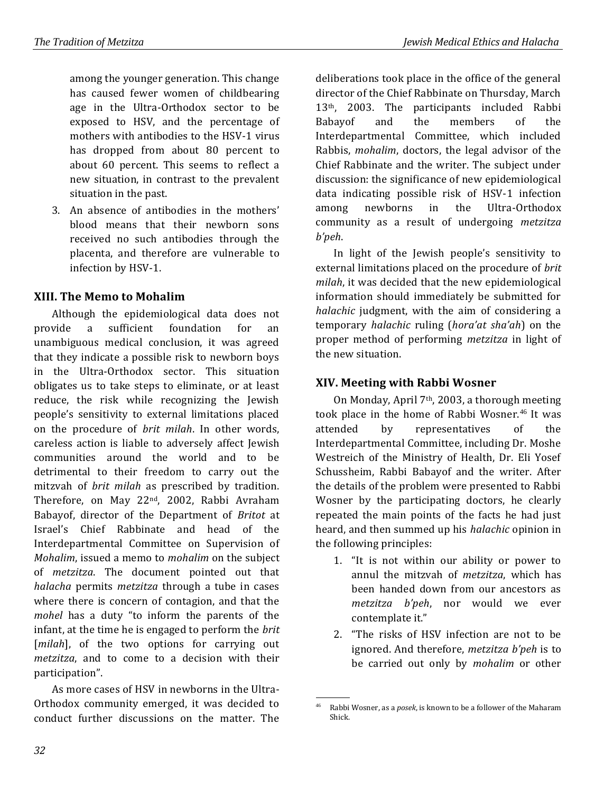among the younger generation. This change has caused fewer women of childbearing age in the Ultra-Orthodox sector to be exposed to HSV, and the percentage of mothers with antibodies to the HSV-1 virus has dropped from about 80 percent to about 60 percent. This seems to reflect a new situation, in contrast to the prevalent situation in the past.

3. An absence of antibodies in the mothers' blood means that their newborn sons received no such antibodies through the placenta, and therefore are vulnerable to infection by HSV-1.

## **XIII. The Memo to Mohalim**

Although the epidemiological data does not provide a sufficient foundation for an unambiguous medical conclusion, it was agreed that they indicate a possible risk to newborn boys in the Ultra-Orthodox sector. This situation obligates us to take steps to eliminate, or at least reduce, the risk while recognizing the Jewish people's sensitivity to external limitations placed on the procedure of *brit milah*. In other words, careless action is liable to adversely affect Jewish communities around the world and to be detrimental to their freedom to carry out the mitzvah of *brit milah* as prescribed by tradition. Therefore, on May 22nd, 2002, Rabbi Avraham Babayof, director of the Department of *Britot* at Israel's Chief Rabbinate and head of the Interdepartmental Committee on Supervision of *Mohalim*, issued a memo to *mohalim* on the subject of *metzitza*. The document pointed out that *halacha* permits *metzitza* through a tube in cases where there is concern of contagion, and that the *mohel* has a duty "to inform the parents of the infant, at the time he is engaged to perform the *brit* [*milah*], of the two options for carrying out *metzitza*, and to come to a decision with their participation".

As more cases of HSV in newborns in the Ultra-Orthodox community emerged, it was decided to conduct further discussions on the matter. The

deliberations took place in the office of the general director of the Chief Rabbinate on Thursday, March 13th, 2003. The participants included Rabbi Babayof and the members of the Interdepartmental Committee, which included Rabbis, *mohalim*, doctors, the legal advisor of the Chief Rabbinate and the writer. The subject under discussion: the significance of new epidemiological data indicating possible risk of HSV-1 infection among newborns in the Ultra-Orthodox community as a result of undergoing *metzitza b'peh*.

In light of the Jewish people's sensitivity to external limitations placed on the procedure of *brit milah*, it was decided that the new epidemiological information should immediately be submitted for *halachic* judgment, with the aim of considering a temporary *halachic* ruling (*hora'at sha'ah*) on the proper method of performing *metzitza* in light of the new situation.

## **XIV. Meeting with Rabbi Wosner**

On Monday, April 7th, 2003, a thorough meeting took place in the home of Rabbi Wosner.<sup>46</sup> It was attended by representatives of the Interdepartmental Committee, including Dr. Moshe Westreich of the Ministry of Health, Dr. Eli Yosef Schussheim, Rabbi Babayof and the writer. After the details of the problem were presented to Rabbi Wosner by the participating doctors, he clearly repeated the main points of the facts he had just heard, and then summed up his *halachic* opinion in the following principles:

- 1. "It is not within our ability or power to annul the mitzvah of *metzitza*, which has been handed down from our ancestors as *metzitza b'peh*, nor would we ever contemplate it."
- 2. "The risks of HSV infection are not to be ignored. And therefore, *metzitza b'peh* is to be carried out only by *mohalim* or other

 <sup>.</sup> <sup>46</sup> Rabbi Wosner, as a *posek*, is known to be a follower of the Maharam Shick.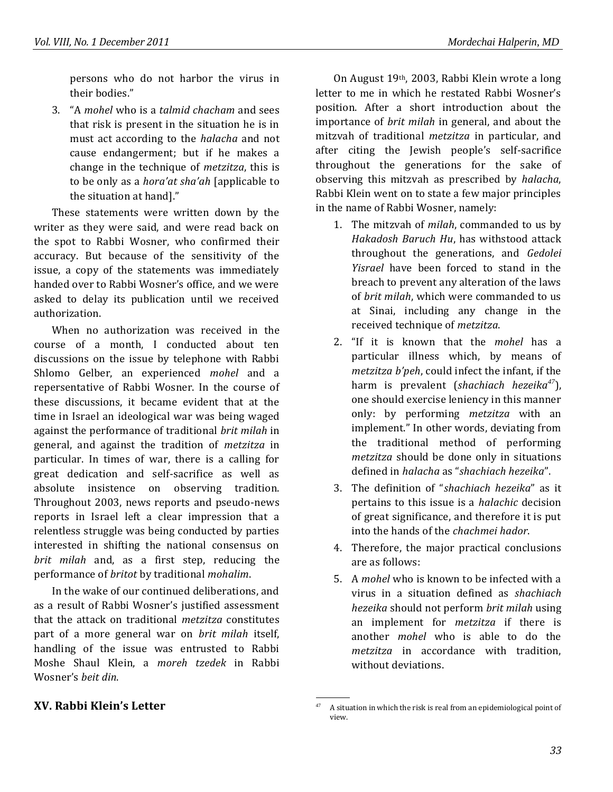persons who do not harbor the virus in their bodies."

3. "A *mohel* who is a *talmid chacham* and sees that risk is present in the situation he is in must act according to the *halacha* and not cause endangerment; but if he makes a change in the technique of *metzitza*, this is to be only as a *hora'at sha'ah* [applicable to the situation at hand]."

These statements were written down by the writer as they were said, and were read back on the spot to Rabbi Wosner, who confirmed their accuracy. But because of the sensitivity of the issue, a copy of the statements was immediately handed over to Rabbi Wosner's office, and we were asked to delay its publication until we received authorization.

When no authorization was received in the course of a month, I conducted about ten discussions on the issue by telephone with Rabbi Shlomo Gelber, an experienced *mohel* and a repersentative of Rabbi Wosner. In the course of these discussions, it became evident that at the time in Israel an ideological war was being waged against the performance of traditional *brit milah* in general, and against the tradition of *metzitza* in particular. In times of war, there is a calling for great dedication and self-sacrifice as well as absolute insistence on observing tradition. Throughout 2003, news reports and pseudo-news reports in Israel left a clear impression that a relentless struggle was being conducted by parties interested in shifting the national consensus on *brit milah* and, as a first step, reducing the performance of *britot* by traditional *mohalim*.

In the wake of our continued deliberations, and as a result of Rabbi Wosner's justified assessment that the attack on traditional *metzitza* constitutes part of a more general war on *brit milah* itself, handling of the issue was entrusted to Rabbi Moshe Shaul Klein, a *moreh tzedek* in Rabbi Wosner's *beit din*.

### On August 19th, 2003, Rabbi Klein wrote a long letter to me in which he restated Rabbi Wosner's position. After a short introduction about the importance of *brit milah* in general, and about the mitzvah of traditional *metzitza* in particular, and after citing the Jewish people's self-sacrifice throughout the generations for the sake of observing this mitzvah as prescribed by *halacha*, Rabbi Klein went on to state a few major principles in the name of Rabbi Wosner, namely:

- 1. The mitzvah of *milah*, commanded to us by *Hakadosh Baruch Hu*, has withstood attack throughout the generations, and *Gedolei Yisrael* have been forced to stand in the breach to prevent any alteration of the laws of *brit milah*, which were commanded to us at Sinai, including any change in the received technique of *metzitza*.
- 2. "If it is known that the *mohel* has a particular illness which, by means of *metzitza b'peh*, could infect the infant, if the harm is prevalent (*shachiach hezeika<sup>47</sup>*), one should exercise leniency in this manner only: by performing *metzitza* with an implement." In other words, deviating from the traditional method of performing *metzitza* should be done only in situations defined in *halacha* as "*shachiach hezeika*".
- 3. The definition of "*shachiach hezeika*" as it pertains to this issue is a *halachic* decision of great significance, and therefore it is put into the hands of the *chachmei hador*.
- 4. Therefore, the major practical conclusions are as follows:
- 5. A *mohel* who is known to be infected with a virus in a situation defined as *shachiach hezeika* should not perform *brit milah* using an implement for *metzitza* if there is another *mohel* who is able to do the *metzitza* in accordance with tradition, without deviations.

#### **XV. Rabbi Klein's Letter**

 <sup>.</sup> <sup>47</sup> A situation in which the risk is real from an epidemiological point of view.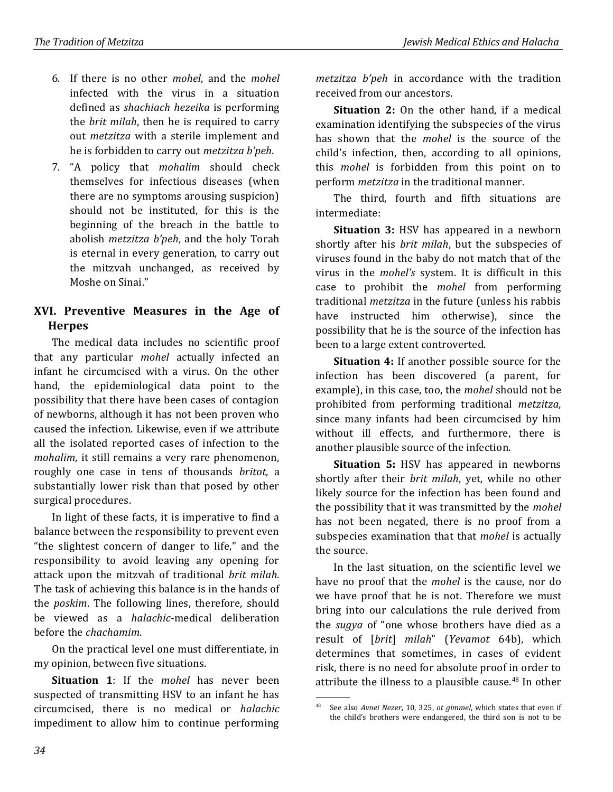- 6. If there is no other *mohel*, and the *mohel* infected with the virus in a situation defined as *shachiach hezeika* is performing the *brit milah*, then he is required to carry out *metzitza* with a sterile implement and he is forbidden to carry out *metzitza b'peh*.
- 7. "A policy that *mohalim* should check themselves for infectious diseases (when there are no symptoms arousing suspicion) should not be instituted, for this is the beginning of the breach in the battle to abolish *metzitza b'peh*, and the holy Torah is eternal in every generation, to carry out the mitzvah unchanged, as received by Moshe on Sinai."

## **XVI. Preventive Measures in the Age of Herpes**

The medical data includes no scientific proof that any particular *mohel* actually infected an infant he circumcised with a virus. On the other hand, the epidemiological data point to the possibility that there have been cases of contagion of newborns, although it has not been proven who caused the infection. Likewise, even if we attribute all the isolated reported cases of infection to the *mohalim*, it still remains a very rare phenomenon, roughly one case in tens of thousands *britot*, a substantially lower risk than that posed by other surgical procedures.

In light of these facts, it is imperative to find a balance between the responsibility to prevent even "the slightest concern of danger to life," and the responsibility to avoid leaving any opening for attack upon the mitzvah of traditional *brit milah*. The task of achieving this balance is in the hands of the *poskim*. The following lines, therefore, should be viewed as a *halachic*-medical deliberation before the *chachamim*.

On the practical level one must differentiate, in my opinion, between five situations.

**Situation 1**: If the *mohel* has never been suspected of transmitting HSV to an infant he has circumcised, there is no medical or *halachic* impediment to allow him to continue performing *metzitza b'peh* in accordance with the tradition received from our ancestors.

**Situation 2:** On the other hand, if a medical examination identifying the subspecies of the virus has shown that the *mohel* is the source of the child's infection, then, according to all opinions, this *mohel* is forbidden from this point on to perform *metzitza* in the traditional manner.

The third, fourth and fifth situations are intermediate:

**Situation 3:** HSV has appeared in a newborn shortly after his *brit milah*, but the subspecies of viruses found in the baby do not match that of the virus in the *mohel's* system. It is difficult in this case to prohibit the *mohel* from performing traditional *metzitza* in the future (unless his rabbis have instructed him otherwise), since the possibility that he is the source of the infection has been to a large extent controverted.

**Situation 4:** If another possible source for the infection has been discovered (a parent, for example), in this case, too, the *mohel* should not be prohibited from performing traditional *metzitza*, since many infants had been circumcised by him without ill effects, and furthermore, there is another plausible source of the infection.

**Situation 5:** HSV has appeared in newborns shortly after their *brit milah*, yet, while no other likely source for the infection has been found and the possibility that it was transmitted by the *mohel* has not been negated, there is no proof from a subspecies examination that that *mohel* is actually the source.

In the last situation, on the scientific level we have no proof that the *mohel* is the cause, nor do we have proof that he is not. Therefore we must bring into our calculations the rule derived from the *sugya* of "one whose brothers have died as a result of [*brit*] *milah*" (*Yevamot* 64b), which determines that sometimes, in cases of evident risk, there is no need for absolute proof in order to attribute the illness to a plausible cause.<sup>48</sup> In other

 <sup>.</sup> <sup>48</sup> See also *Avnei Nezer*, 10, 325, *ot gimmel*, which states that even if the child's brothers were endangered, the third son is not to be